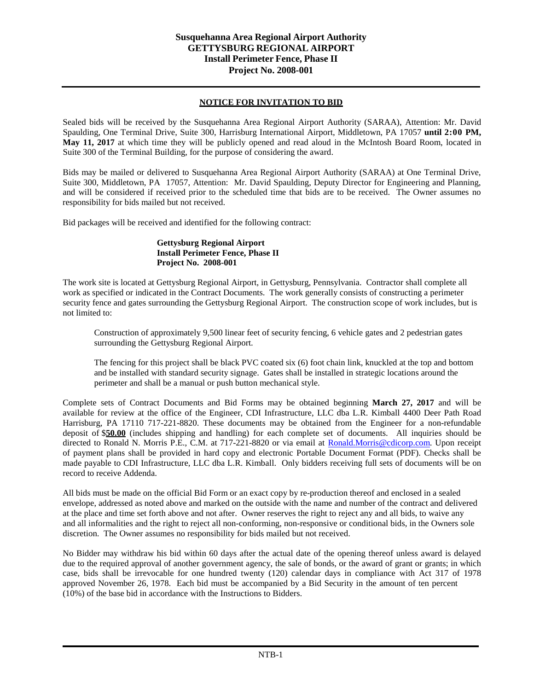## **NOTICE FOR INVITATION TO BID**

Sealed bids will be received by the Susquehanna Area Regional Airport Authority (SARAA), Attention: Mr. David Spaulding, One Terminal Drive, Suite 300, Harrisburg International Airport, Middletown, PA 17057 **until 2:00 PM, May 11, 2017** at which time they will be publicly opened and read aloud in the McIntosh Board Room, located in Suite 300 of the Terminal Building, for the purpose of considering the award.

Bids may be mailed or delivered to Susquehanna Area Regional Airport Authority (SARAA) at One Terminal Drive, Suite 300, Middletown, PA 17057, Attention: Mr. David Spaulding, Deputy Director for Engineering and Planning, and will be considered if received prior to the scheduled time that bids are to be received. The Owner assumes no responsibility for bids mailed but not received.

Bid packages will be received and identified for the following contract:

## **Gettysburg Regional Airport Install Perimeter Fence, Phase II Project No. 2008-001**

The work site is located at Gettysburg Regional Airport, in Gettysburg, Pennsylvania. Contractor shall complete all work as specified or indicated in the Contract Documents. The work generally consists of constructing a perimeter security fence and gates surrounding the Gettysburg Regional Airport. The construction scope of work includes, but is not limited to:

Construction of approximately 9,500 linear feet of security fencing, 6 vehicle gates and 2 pedestrian gates surrounding the Gettysburg Regional Airport.

The fencing for this project shall be black PVC coated six (6) foot chain link, knuckled at the top and bottom and be installed with standard security signage. Gates shall be installed in strategic locations around the perimeter and shall be a manual or push button mechanical style.

Complete sets of Contract Documents and Bid Forms may be obtained beginning **March 27, 2017** and will be available for review at the office of the Engineer, CDI Infrastructure, LLC dba L.R. Kimball 4400 Deer Path Road Harrisburg, PA 17110 717-221-8820. These documents may be obtained from the Engineer for a non-refundable deposit of \$**50.00** (includes shipping and handling) for each complete set of documents. All inquiries should be directed to Ronald N. Morris P.E., C.M. at 717-221-8820 or via email at [Ronald.Morris@cdicorp.com.](mailto:Ronald.Morris@cdicorp.com) Upon receipt of payment plans shall be provided in hard copy and electronic Portable Document Format (PDF). Checks shall be made payable to CDI Infrastructure, LLC dba L.R. Kimball. Only bidders receiving full sets of documents will be on record to receive Addenda.

All bids must be made on the official Bid Form or an exact copy by re-production thereof and enclosed in a sealed envelope, addressed as noted above and marked on the outside with the name and number of the contract and delivered at the place and time set forth above and not after. Owner reserves the right to reject any and all bids, to waive any and all informalities and the right to reject all non-conforming, non-responsive or conditional bids, in the Owners sole discretion. The Owner assumes no responsibility for bids mailed but not received.

No Bidder may withdraw his bid within 60 days after the actual date of the opening thereof unless award is delayed due to the required approval of another government agency, the sale of bonds, or the award of grant or grants; in which case, bids shall be irrevocable for one hundred twenty (120) calendar days in compliance with Act 317 of 1978 approved November 26, 1978. Each bid must be accompanied by a Bid Security in the amount of ten percent (10%) of the base bid in accordance with the Instructions to Bidders.